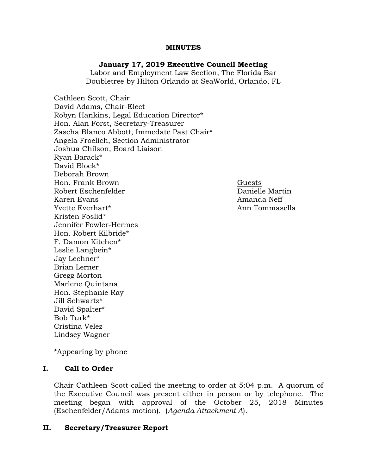### MINUTES

# January 17, 2019 Executive Council Meeting

Labor and Employment Law Section, The Florida Bar Doubletree by Hilton Orlando at SeaWorld, Orlando, FL

Cathleen Scott, Chair David Adams, Chair-Elect Robyn Hankins, Legal Education Director\* Hon. Alan Forst, Secretary-Treasurer Zascha Blanco Abbott, Immedate Past Chair\* Angela Froelich, Section Administrator Joshua Chilson, Board Liaison Ryan Barack\* David Block\* Deborah Brown Hon. Frank Brown Guests Robert Eschenfelder Danielle Martin Karen Evans Amanda Neff Yvette Everhart\* Ann Tommasella Kristen Foslid\* Jennifer Fowler-Hermes Hon. Robert Kilbride\* F. Damon Kitchen\* Leslie Langbein\* Jay Lechner\* Brian Lerner Gregg Morton Marlene Quintana Hon. Stephanie Ray Jill Schwartz\* David Spalter\* Bob Turk\* Cristina Velez Lindsey Wagner

\*Appearing by phone

## I. Call to Order

Chair Cathleen Scott called the meeting to order at 5:04 p.m. A quorum of the Executive Council was present either in person or by telephone. The meeting began with approval of the October 25, 2018 Minutes (Eschenfelder/Adams motion). (Agenda Attachment A).

## II. Secretary/Treasurer Report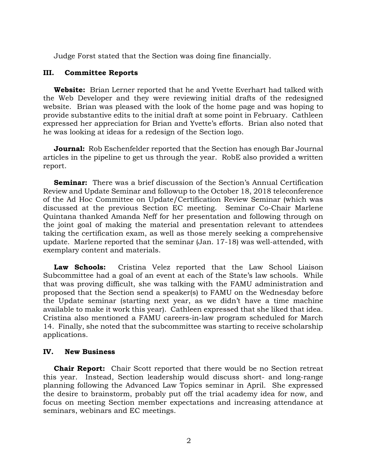Judge Forst stated that the Section was doing fine financially.

### III. Committee Reports

Website: Brian Lerner reported that he and Yvette Everhart had talked with the Web Developer and they were reviewing initial drafts of the redesigned website. Brian was pleased with the look of the home page and was hoping to provide substantive edits to the initial draft at some point in February. Cathleen expressed her appreciation for Brian and Yvette's efforts. Brian also noted that he was looking at ideas for a redesign of the Section logo.

**Journal:** Rob Eschenfelder reported that the Section has enough Bar Journal articles in the pipeline to get us through the year. RobE also provided a written report.

**Seminar:** There was a brief discussion of the Section's Annual Certification Review and Update Seminar and followup to the October 18, 2018 teleconference of the Ad Hoc Committee on Update/Certification Review Seminar (which was discussed at the previous Section EC meeting. Seminar Co-Chair Marlene Quintana thanked Amanda Neff for her presentation and following through on the joint goal of making the material and presentation relevant to attendees taking the certification exam, as well as those merely seeking a comprehensive update. Marlene reported that the seminar (Jan. 17-18) was well-attended, with exemplary content and materials.

Law Schools: Cristina Velez reported that the Law School Liaison Subcommittee had a goal of an event at each of the State's law schools. While that was proving difficult, she was talking with the FAMU administration and proposed that the Section send a speaker(s) to FAMU on the Wednesday before the Update seminar (starting next year, as we didn't have a time machine available to make it work this year). Cathleen expressed that she liked that idea. Cristina also mentioned a FAMU careers-in-law program scheduled for March 14. Finally, she noted that the subcommittee was starting to receive scholarship applications.

#### IV. New Business

**Chair Report:** Chair Scott reported that there would be no Section retreat this year. Instead, Section leadership would discuss short- and long-range planning following the Advanced Law Topics seminar in April. She expressed the desire to brainstorm, probably put off the trial academy idea for now, and focus on meeting Section member expectations and increasing attendance at seminars, webinars and EC meetings.